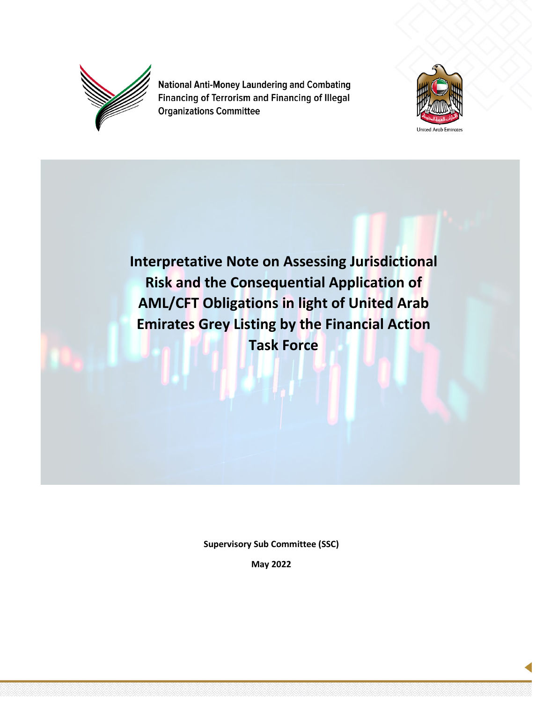

**National Anti-Money Laundering and Combating** Financing of Terrorism and Financing of Illegal **Organizations Committee** 



**Interpretative Note on Assessing Jurisdictional Risk and the Consequential Application of AML/CFT Obligations in light of United Arab Emirates Grey Listing by the Financial Action Task Force**

**Supervisory Sub Committee (SSC)**

**May 2022**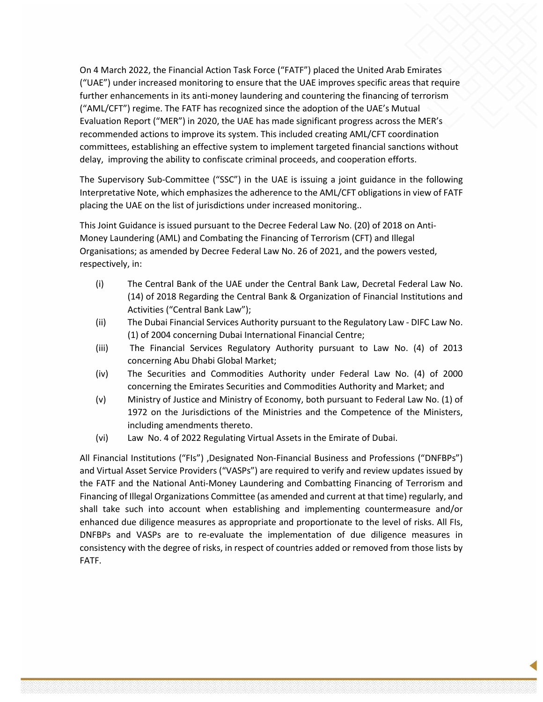On 4 March 2022, the Financial Action Task Force ("FATF") placed the United Arab Emirates ("UAE") under increased monitoring to ensure that the UAE improves specific areas that require further enhancements in its anti-money laundering and countering the financing of terrorism ("AML/CFT") regime. The FATF has recognized since the adoption of the UAE's Mutual Evaluation Report ("MER") in 2020, the UAE has made significant progress across the MER's recommended actions to improve its system. This included creating AML/CFT coordination committees, establishing an effective system to implement targeted financial sanctions without delay, improving the ability to confiscate criminal proceeds, and cooperation efforts.

The Supervisory Sub-Committee ("SSC") in the UAE is issuing a joint guidance in the following Interpretative Note, which emphasizes the adherence to the AML/CFT obligations in view of FATF placing the UAE on the list of jurisdictions under increased monitoring..

This Joint Guidance is issued pursuant to the Decree Federal Law No. (20) of 2018 on Anti-Money Laundering (AML) and Combating the Financing of Terrorism (CFT) and Illegal Organisations; as amended by Decree Federal Law No. 26 of 2021, and the powers vested, respectively, in:

- (i) The Central Bank of the UAE under the Central Bank Law, Decretal Federal Law No. (14) of 2018 Regarding the Central Bank & Organization of Financial Institutions and Activities ("Central Bank Law");
- (ii) The Dubai Financial Services Authority pursuant to the Regulatory Law DIFC Law No. (1) of 2004 concerning Dubai International Financial Centre;
- (iii) The Financial Services Regulatory Authority pursuant to Law No. (4) of 2013 concerning Abu Dhabi Global Market;
- (iv) The Securities and Commodities Authority under Federal Law No. (4) of 2000 concerning the Emirates Securities and Commodities Authority and Market; and
- (v) Ministry of Justice and Ministry of Economy, both pursuant to Federal Law No. (1) of 1972 on the Jurisdictions of the Ministries and the Competence of the Ministers, including amendments thereto.
- (vi) Law No. 4 of 2022 Regulating Virtual Assets in the Emirate of Dubai.

All Financial Institutions ("FIs") ,Designated Non-Financial Business and Professions ("DNFBPs") and Virtual Asset Service Providers ("VASPs") are required to verify and review updates issued by the FATF and the National Anti-Money Laundering and Combatting Financing of Terrorism and Financing of Illegal Organizations Committee (as amended and current at that time) regularly, and shall take such into account when establishing and implementing countermeasure and/or enhanced due diligence measures as appropriate and proportionate to the level of risks. All FIs, DNFBPs and VASPs are to re-evaluate the implementation of due diligence measures in consistency with the degree of risks, in respect of countries added or removed from those lists by FATF.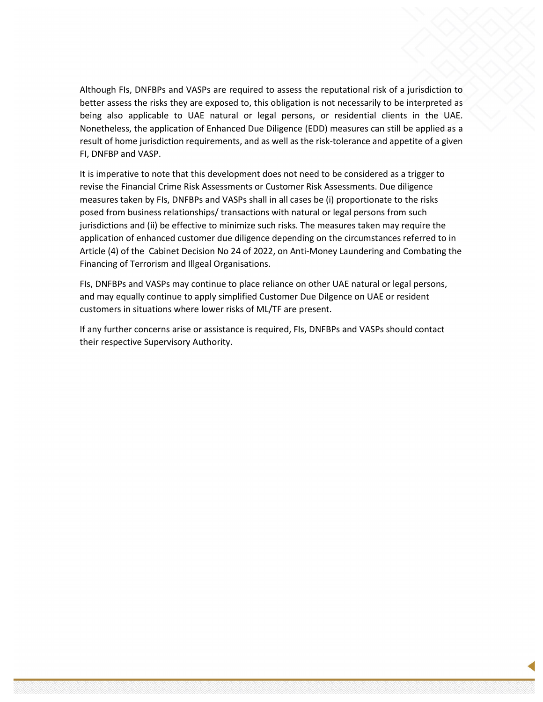Although FIs, DNFBPs and VASPs are required to assess the reputational risk of a jurisdiction to better assess the risks they are exposed to, this obligation is not necessarily to be interpreted as being also applicable to UAE natural or legal persons, or residential clients in the UAE. Nonetheless, the application of Enhanced Due Diligence (EDD) measures can still be applied as a result of home jurisdiction requirements, and as well as the risk-tolerance and appetite of a given FI, DNFBP and VASP.

It is imperative to note that this development does not need to be considered as a trigger to revise the Financial Crime Risk Assessments or Customer Risk Assessments. Due diligence measures taken by FIs, DNFBPs and VASPs shall in all cases be (i) proportionate to the risks posed from business relationships/ transactions with natural or legal persons from such jurisdictions and (ii) be effective to minimize such risks. The measures taken may require the application of enhanced customer due diligence depending on the circumstances referred to in Article (4) of the Cabinet Decision No 24 of 2022, on Anti-Money Laundering and Combating the Financing of Terrorism and Illgeal Organisations.

FIs, DNFBPs and VASPs may continue to place reliance on other UAE natural or legal persons, and may equally continue to apply simplified Customer Due Dilgence on UAE or resident customers in situations where lower risks of ML/TF are present.

If any further concerns arise or assistance is required, FIs, DNFBPs and VASPs should contact their respective Supervisory Authority.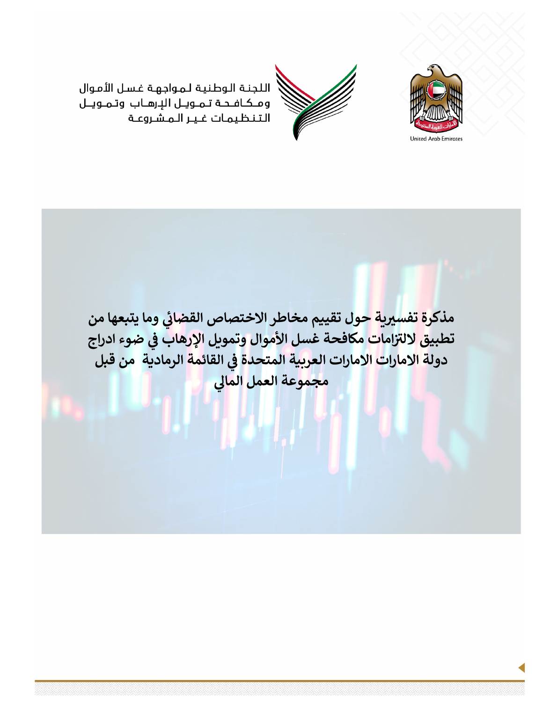

اللجنة الوطنية لمواجهة غسل الأموال ومكافحة تمويل الإرهاب وتمويـل التنظيمات غير المشروعة

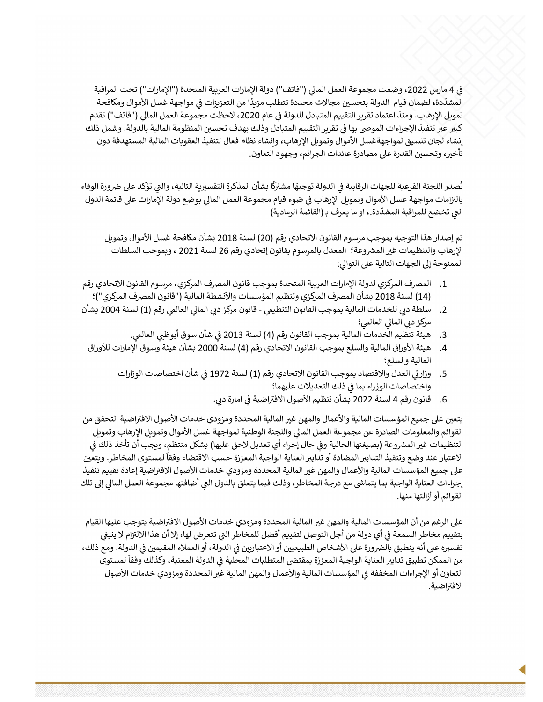في 4 مارس 2022، وضعت مجموعة العمل المالي ("فاتف") دولة الإمارات العربية المتحدة ("الإمارات") تحت المراقبة المشدِّدة، لضمان قيام الدولة بتحسين مجالات محددة تتطلب مزيدًا من التعزيزات في مواجهة غسل الأموال ومكافحة تمويل الإرهاب. ومنذ اعتماد تقرير التقييم المتبادل للدولة في عام 2020، لاحظت مجموعة العمل المالي ("فاتف") تقدم كبير عبر تنفيذ الإجراءات الموصى بها في تقرير التقييم المتبادل وذلك بهدف تحسين المنظومة المالية بالدولة. وشمل ذلك إنشاء لجان تنسيق لمواجهةغسل الأموال وتموبل الإرهاب، وإنشاء نظام فعال لتنفيذ العقوبات المالية المستهدفة دون تأخير، وتحسين القدرة على مصادرة عائدات الجرائم، وجهود التعاون.

تُصدر اللجنة الفرعية للجهات الرقابية في الدولة توجيهًا مشتركًا بشأن المذكرة التفسيرية التالية، والتي تؤكد على ضرورة الوفاء بالتزامات مواجهة غسل الأموال وتمويل الإرهاب فى ضوء قيام مجموعة العمل المالى بوضع دولة الإمارات على قائمة الدول التي تخضع للمراقبة المشدّدة.، او ما يعرف بـ (القائمة الرمادية)

تم إصدار هذا التوجيه بموجب مرسوم القانون الاتحادي رقم (20) لسنة 2018 بشأن مكافحة غسل الأموال وتمويل الإرهاب والتنظيمات غير المشروعة؛ المعدل بالمرسوم بقانون إتحادي رقم 26 لسنة 2021 ، وبموجب السلطات الممنوحة إلى الجهات التالية على التوالي:

- 1. المصرف المركزي لدولة الإمارات العربية المتحدة بموجب قانون المصرف المركزي، مرسوم القانون الاتحادي رقم (14) لسنة 2018 بشأن المصرف المركزي وتنظيم المؤسسات والأنشطة المالية ("قانون المصرف المركزي")؛
- 2. سلطة دبي للخدمات المالية بموجب القانون التنظيمي قانون مركز دبي المالي العالمي رقم (1) لسنة 2004 بشأن مركز دبي المالي العالمي؛
	- 3. هيئة تنظيم الخدمات المالية بموجب القانون رقم (4) لسنة 2013 في شأن سوق أبوظبي العالمي.
	- 4. هيئة الأوراق المالية والسلع بموجب القانون الاتحادي رقم (4) لسنة 2000 بشأن هيئة وسوق الإمارات للأوراق المالية والسلع؛
		- 5. وزار ق العدل والاقتصاد بموجب القانون الاتحادي رقم (1) لسنة 1972 في شأن اختصاصات الوزارات واختصاصات الوزراء بما في ذلك التعديلات عليهما؛
			- 6. قانون رقم 4 لسنة 2022 بشأن تنظيم الأصول الافتراضية في امارة دي.

يتعين على جميع المؤسسات المالية والأعمال والمهن غير المالية المحددة ومزودي خدمات الأصول الافتراضية التحقق من القوائم والمعلومات الصادرة عن مجموعة العمل المالى واللجنة الوطنية لمواجهة غسل الأموال وتمويل الإرهاب وتمويل التنظيمات غير المشروعة (بصيغتها الحالية وفي حال إجراء أي تعديل لاحق عليها) بشكل منتظم، ويجب أن تأخذ ذلك في الاعتبار عند وضع وتنفيذ التدابير المضادة أو تدابير العناية الواجبة المعززة حسب الاقتضاء وفقاً لمستوى المخاطر. ويتعين على جميع المؤسسات المالية والأعمال والمهن غير المالية المحددة ومزودي خدمات الأصول الافتراضية إعادة تقييم تنفيذ إجراءات العناية الواجبة بما يتماشى مع درجة المخاطر، وذلك فيما يتعلق بالدول التى أضافتها مجموعة العمل المالى إلى تلك القوائم أو أزالتها منها.

على الرغم من أن المؤسسات المالية والمهن غير المالية المحددة ومزودي خدمات الأصول الافتراضية يتوجب عليها القيام بتقييم مخاطر السمعة في أي دولة من أجل التوصل لتقييم أفضل للمخاطر التي تتعرض لها، إلا أن هذا الالتزام لا ينبغي تفسيره على أنه ينطبق بالضرورة على الأشخاص الطبيعيين أو الاعتباريين في الدولة، أو العملاء المقيمين في الدولة. ومع ذلك، من الممكن تطبيق تدابير العناية الواجبة المعززة بمقتضى المتطلبات المحلية في الدولة المعنية، وكذلك وفقاً لمستوى التعاون أو الإجراءات المخففة في المؤسسات المالية والأعمال والمهن المالية غير المحددة ومزودي خدمات الأصول الافتراضية.